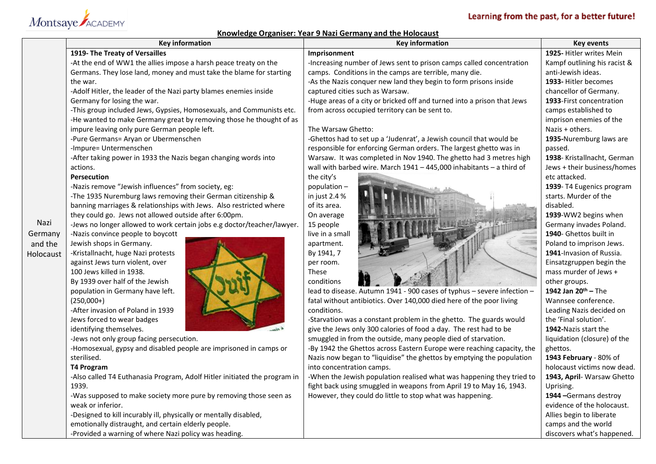# Learning from the past, for a better future!

# Montsaye ACADEMY

## **Knowledge Organiser: Year 9 Nazi Germany and the Holocaust**

|           |                                                                           | Knowledge Organiser: Year 9 Nazi Germany and the Holocaust              |                                 |
|-----------|---------------------------------------------------------------------------|-------------------------------------------------------------------------|---------------------------------|
|           | <b>Key information</b>                                                    | <b>Key information</b>                                                  | <b>Key events</b>               |
|           | 1919- The Treaty of Versailles                                            | Imprisonment                                                            | 1925- Hitler writes Mein        |
|           | -At the end of WW1 the allies impose a harsh peace treaty on the          | -Increasing number of Jews sent to prison camps called concentration    | Kampf outlining his racist &    |
|           | Germans. They lose land, money and must take the blame for starting       | camps. Conditions in the camps are terrible, many die.                  | anti-Jewish ideas.              |
|           | the war.                                                                  | -As the Nazis conquer new land they begin to form prisons inside        | 1933- Hitler becomes            |
|           | -Adolf Hitler, the leader of the Nazi party blames enemies inside         | captured cities such as Warsaw.                                         | chancellor of Germany.          |
|           | Germany for losing the war.                                               | -Huge areas of a city or bricked off and turned into a prison that Jews | 1933-First concentration        |
|           | -This group included Jews, Gypsies, Homosexuals, and Communists etc.      | from across occupied territory can be sent to.                          | camps established to            |
|           | -He wanted to make Germany great by removing those he thought of as       |                                                                         | imprison enemies of the         |
|           | impure leaving only pure German people left.                              | The Warsaw Ghetto:                                                      | Nazis + others.                 |
|           | -Pure Germans= Aryan or Ubermenschen                                      | -Ghettos had to set up a 'Judenrat', a Jewish council that would be     | 1935-Nuremburg laws are         |
|           | -Impure= Untermenschen                                                    | responsible for enforcing German orders. The largest ghetto was in      | passed.                         |
|           | -After taking power in 1933 the Nazis began changing words into           | Warsaw. It was completed in Nov 1940. The ghetto had 3 metres high      | 1938- Kristallnacht, German     |
|           | actions.                                                                  | wall with barbed wire. March $1941 - 445,000$ inhabitants - a third of  | Jews + their business/homes     |
|           | <b>Persecution</b>                                                        | the city's                                                              | etc attacked.                   |
|           | -Nazis remove "Jewish influences" from society, eg:                       | population-                                                             | 1939- T4 Eugenics program       |
|           | -The 1935 Nuremburg laws removing their German citizenship &              | in just 2.4 %                                                           | starts. Murder of the           |
|           | banning marriages & relationships with Jews. Also restricted where        | of its area.                                                            | disabled.                       |
|           | they could go. Jews not allowed outside after 6:00pm.                     | On average                                                              | 1939-WW2 begins when            |
| Nazi      | -Jews no longer allowed to work certain jobs e.g doctor/teacher/lawyer.   | 15 people                                                               | Germany invades Poland.         |
| Germany   | -Nazis convince people to boycott                                         | live in a small                                                         | 1940- Ghettos built in          |
| and the   | Jewish shops in Germany.                                                  | apartment.                                                              | Poland to imprison Jews.        |
| Holocaust | -Kristallnacht, huge Nazi protests                                        | By 1941, 7                                                              | 1941-Invasion of Russia.        |
|           | against Jews turn violent, over                                           | per room.                                                               | Einsatzgruppen begin the        |
|           | 100 Jews killed in 1938.                                                  | These                                                                   | mass murder of Jews +           |
|           | By 1939 over half of the Jewish                                           | conditions                                                              | other groups.                   |
|           | population in Germany have left.                                          | lead to disease. Autumn 1941 - 900 cases of typhus - severe infection - | 1942 Jan 20 <sup>th</sup> - The |
|           | $(250,000+)$                                                              | fatal without antibiotics. Over 140,000 died here of the poor living    | Wannsee conference.             |
|           | -After invasion of Poland in 1939                                         | conditions.                                                             | Leading Nazis decided on        |
|           | Jews forced to wear badges                                                | -Starvation was a constant problem in the ghetto. The guards would      | the 'Final solution'.           |
|           | 4 cines<br>identifying themselves.                                        | give the Jews only 300 calories of food a day. The rest had to be       | 1942-Nazis start the            |
|           | -Jews not only group facing persecution.                                  | smuggled in from the outside, many people died of starvation.           | liquidation (closure) of the    |
|           | -Homosexual, gypsy and disabled people are imprisoned in camps or         | -By 1942 the Ghettos across Eastern Europe were reaching capacity, the  | ghettos.                        |
|           | sterilised.                                                               | Nazis now began to "liquidise" the ghettos by emptying the population   | 1943 February - 80% of          |
|           | <b>T4 Program</b>                                                         | into concentration camps.                                               | holocaust victims now dead.     |
|           | -Also called T4 Euthanasia Program, Adolf Hitler initiated the program in | -When the Jewish population realised what was happening they tried to   | 1943, April- Warsaw Ghetto      |
|           | 1939.                                                                     | fight back using smuggled in weapons from April 19 to May 16, 1943.     | Uprising.                       |
|           | -Was supposed to make society more pure by removing those seen as         | However, they could do little to stop what was happening.               | 1944 - Germans destroy          |
|           | weak or inferior.                                                         |                                                                         | evidence of the holocaust.      |
|           | -Designed to kill incurably ill, physically or mentally disabled,         |                                                                         | Allies begin to liberate        |
|           | emotionally distraught, and certain elderly people.                       |                                                                         | camps and the world             |
|           | -Provided a warning of where Nazi policy was heading.                     |                                                                         | discovers what's happened.      |